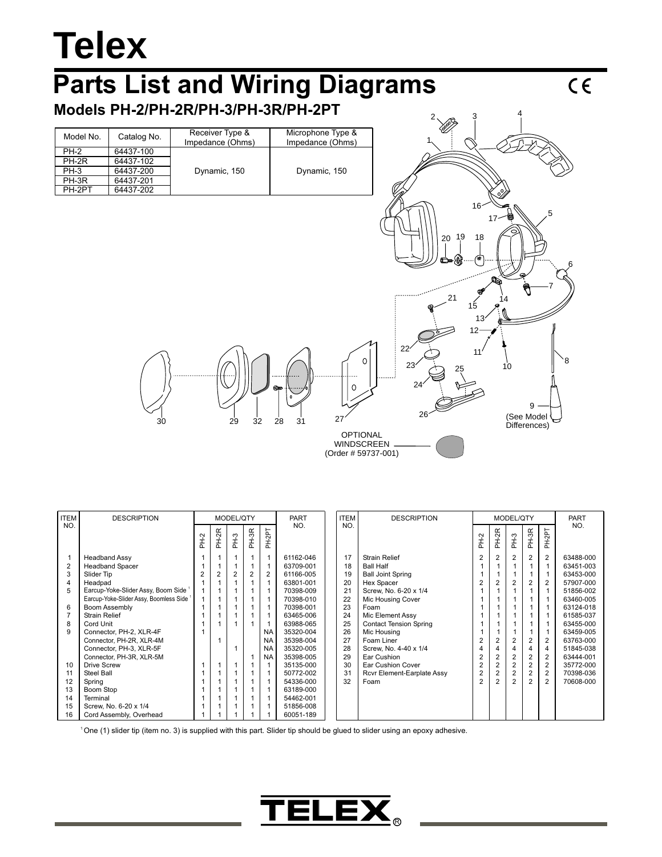## **Telex**

## **Parts List and Wiring Diagrams**

**Models PH-2/PH-2R/PH-3/PH-3R/PH-2PT**

| Model No.   | Catalog No. | Receiver Type &<br>Impedance (Ohms) | Microphone Type &<br>Impedance (Ohms) |  |  |  |
|-------------|-------------|-------------------------------------|---------------------------------------|--|--|--|
| <b>PH-2</b> | 64437-100   |                                     |                                       |  |  |  |
| PH-2R       | 64437-102   |                                     |                                       |  |  |  |
| $PH-3$      | 64437-200   | Dynamic, 150                        | Dynamic, 150                          |  |  |  |
| PH-3R       | 64437-201   |                                     |                                       |  |  |  |
| PH-2PT      | 64437-202   |                                     |                                       |  |  |  |



 $2 \times 3$  4

| <b>ITEM</b>    | <b>DESCRIPTION</b>                              |      | MODEL/QTY |                |       | <b>PART</b>    |           | <b>ITEM</b> | <b>DESCRIPTION</b> |                               |                | MODEL/QTY      |                |                | PART           |           |
|----------------|-------------------------------------------------|------|-----------|----------------|-------|----------------|-----------|-------------|--------------------|-------------------------------|----------------|----------------|----------------|----------------|----------------|-----------|
| NO.            |                                                 | PH-2 | PH-2R     | PH-3           | PH-3R | PH-2PT         | NO.       |             | NO.                |                               |                | PH-2R          | PH-3           | PH-3R          | PH-2PT         | NO.       |
|                | <b>Headband Assy</b>                            |      |           |                |       |                | 61162-046 |             | 17                 | <b>Strain Relief</b>          | 2              | $\overline{2}$ | $\overline{2}$ | $\overline{2}$ | 2              | 63488-000 |
| $\overline{2}$ | <b>Headband Spacer</b>                          |      |           |                |       |                | 63709-001 |             | 18                 | <b>Ball Half</b>              |                |                |                |                |                | 63451-003 |
| 3              | Slider Tip                                      | 2    | 2         | $\overline{2}$ | 2     | $\overline{2}$ | 61166-005 |             | 19                 | <b>Ball Joint Spring</b>      |                |                |                |                |                | 63453-000 |
| 4              | Headpad                                         |      |           |                |       |                | 63801-001 |             | 20                 | Hex Spacer                    | $\overline{2}$ | 2              | 2              | 2              | 2              | 57907-000 |
| 5              | Earcup-Yoke-Slider Assy, Boom Side <sup>1</sup> |      |           |                |       |                | 70398-009 |             | 21                 | Screw, No. 6-20 x 1/4         |                |                |                |                |                | 51856-002 |
|                | Earcup-Yoke-Slider Assy, Boomless Side          |      |           |                |       |                | 70398-010 |             | 22                 | Mic Housing Cover             |                |                |                |                |                | 63460-005 |
| 6              | <b>Boom Assembly</b>                            |      |           |                |       |                | 70398-001 |             | 23                 | Foam                          |                |                |                |                |                | 63124-018 |
|                | <b>Strain Relief</b>                            |      |           |                |       |                | 63465-006 |             | 24                 | Mic Element Assy              |                |                |                |                |                | 61585-037 |
| 8              | Cord Unit                                       |      |           |                |       |                | 63988-065 |             | 25                 | <b>Contact Tension Spring</b> |                |                |                |                |                | 63455-000 |
| 9              | Connector, PH-2, XLR-4F                         |      |           |                |       | <b>NA</b>      | 35320-004 |             | 26                 | Mic Housing                   |                |                |                |                |                | 63459-005 |
|                | Connector, PH-2R, XLR-4M                        |      |           |                |       | <b>NA</b>      | 35398-004 |             | 27                 | Foam Liner                    |                | 2              | 2              | 2              | 2              | 63763-000 |
|                | Connector, PH-3, XLR-5F                         |      |           |                |       | <b>NA</b>      | 35320-005 |             | 28                 | Screw, No. 4-40 x 1/4         | 4              |                |                |                | 4              | 51845-038 |
|                | Connector, PH-3R, XLR-5M                        |      |           |                |       | <b>NA</b>      | 35398-005 |             | 29                 | Ear Cushion                   | $\overline{2}$ | 2              |                | 2              | 2              | 63444-001 |
| 10             | <b>Drive Screw</b>                              |      |           |                |       |                | 35135-000 |             | 30                 | Ear Cushion Cover             | $\overline{2}$ | 2              | 2              | $\overline{2}$ | $\overline{2}$ | 35772-000 |
| 11             | Steel Ball                                      |      |           |                |       |                | 50772-002 |             | 31                 | Rcvr Element-Earplate Assy    | 2              | $\overline{2}$ | $\overline{2}$ | $\overline{2}$ | $\overline{2}$ | 70398-036 |
| 12             | Spring                                          |      |           |                |       |                | 54336-000 |             | 32                 | Foam                          | $\overline{2}$ | $\overline{2}$ | $\overline{2}$ | $\overline{2}$ | $\overline{2}$ | 70608-000 |
| 13             | Boom Stop                                       |      |           |                |       |                | 63189-000 |             |                    |                               |                |                |                |                |                |           |
| 14             | Terminal                                        |      |           |                |       |                | 54462-001 |             |                    |                               |                |                |                |                |                |           |
| 15             | Screw. No. 6-20 x 1/4                           |      |           |                |       |                | 51856-008 |             |                    |                               |                |                |                |                |                |           |
| 16             | Cord Assembly, Overhead                         |      |           |                |       |                | 60051-189 |             |                    |                               |                |                |                |                |                |           |

One (1) slider tip (item no. 3) is supplied with this part. Slider tip should be glued to slider using an epoxy adhesive.



 $\overline{c}$